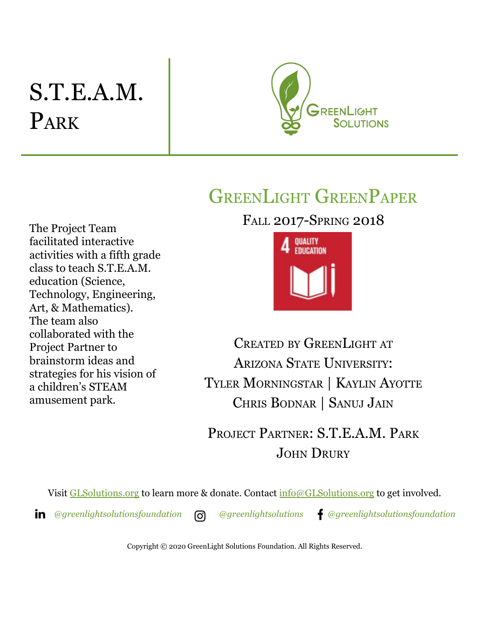# S.T.E.A.M. PARK



## GREENLIGHT GREENPAPER

FALL 2017-SPRING 2018

The Project Team facilitated interactive activities with a fifth grade class to teach S.T.E.A.M. education (Science, Technology, Engineering, Art, & Mathematics). The team also collaborated with the Project Partner to brainstorm ideas and strategies for his vision of a children's STEAM amusement park.



CREATED BY GREENLIGHT AT ARIZONA STATE UNIVERSITY: TYLER MORNINGSTAR | KAYLIN AYOTTE CHRIS BODNAR | SANUJ JAIN

PROJECT PARTNER: S.T.E.A.M. PARK JOHN DRURY

Visit [GLSolutions.org](https://www.glsolutions.org/) to learn more & donate. Contact  $\frac{info@GLSolutions.org}{info@GLSolutions.org}$  to get involved.

*[@greenlightsolutionsfoundation](https://www.linkedin.com/company/10571635) [@greenlightsolutions](https://www.instagram.com/greenlightsolutions/) [@greenlightsolutionsfoundation](https://www.facebook.com/GreenLightSolutionsFoundation/)*

Copyright © 2020 GreenLight Solutions Foundation. All Rights Reserved.